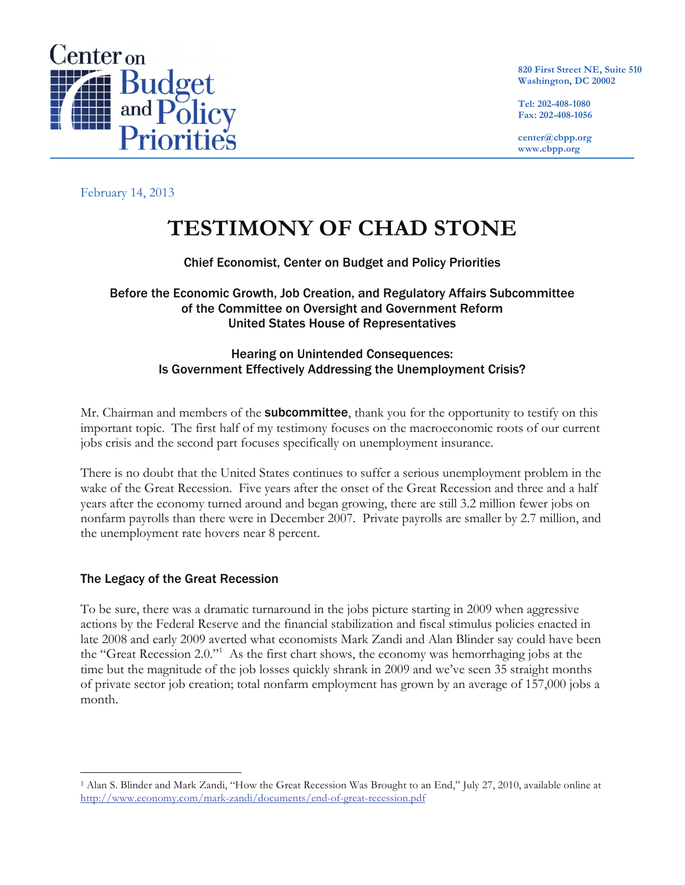

**820 First Street NE, Suite 510 Washington, DC 20002**

**Tel: 202-408-1080 Fax: 202-408-1056**

**center@cbpp.org www.cbpp.org**

February 14, 2013

# **TESTIMONY OF CHAD STONE**

### Chief Economist, Center on Budget and Policy Priorities

Before the Economic Growth, Job Creation, and Regulatory Affairs Subcommittee of the Committee on Oversight and Government Reform United States House of Representatives

### Hearing on Unintended Consequences: Is Government Effectively Addressing the Unemployment Crisis?

Mr. Chairman and members of the **subcommittee**, thank you for the opportunity to testify on this important topic. The first half of my testimony focuses on the macroeconomic roots of our current jobs crisis and the second part focuses specifically on unemployment insurance.

There is no doubt that the United States continues to suffer a serious unemployment problem in the wake of the Great Recession. Five years after the onset of the Great Recession and three and a half years after the economy turned around and began growing, there are still 3.2 million fewer jobs on nonfarm payrolls than there were in December 2007. Private payrolls are smaller by 2.7 million, and the unemployment rate hovers near 8 percent.

### The Legacy of the Great Recession

To be sure, there was a dramatic turnaround in the jobs picture starting in 2009 when aggressive actions by the Federal Reserve and the financial stabilization and fiscal stimulus policies enacted in late 2008 and early 2009 averted what economists Mark Zandi and Alan Blinder say could have been the "Great Recession 2.0."1 As the first chart shows, the economy was hemorrhaging jobs at the time but the magnitude of the job losses quickly shrank in 2009 and we've seen 35 straight months of private sector job creation; total nonfarm employment has grown by an average of 157,000 jobs a month.

 <sup>1</sup> Alan S. Blinder and Mark Zandi, "How the Great Recession Was Brought to an End," July 27, 2010, available online at http://www.economy.com/mark-zandi/documents/end-of-great-recession.pdf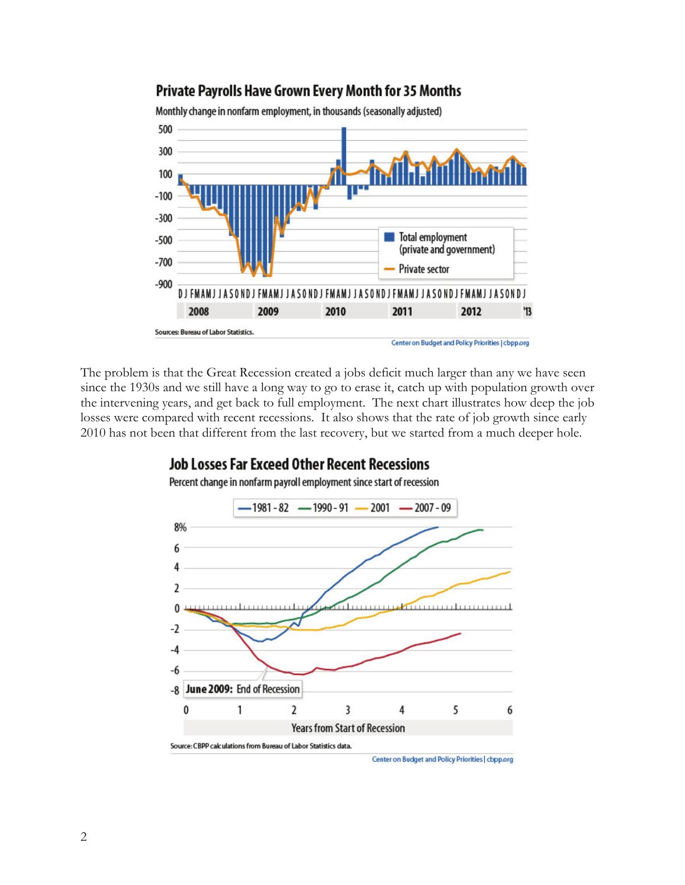### Private Payrolls Have Grown Every Month for 35 Months

Monthly change in nonfarm employment, in thousands (seasonally adjusted)



The problem is that the Great Recession created a jobs deficit much larger than any we have seen since the 1930s and we still have a long way to go to erase it, catch up with population growth over the intervening years, and get back to full employment. The next chart illustrates how deep the job losses were compared with recent recessions. It also shows that the rate of job growth since early 2010 has not been that different from the last recovery, but we started from a much deeper hole.

### **Job Losses Far Exceed Other Recent Recessions**



Percent change in nonfarm payroll employment since start of recession

Center on Budget and Policy Priorities | cbpp.org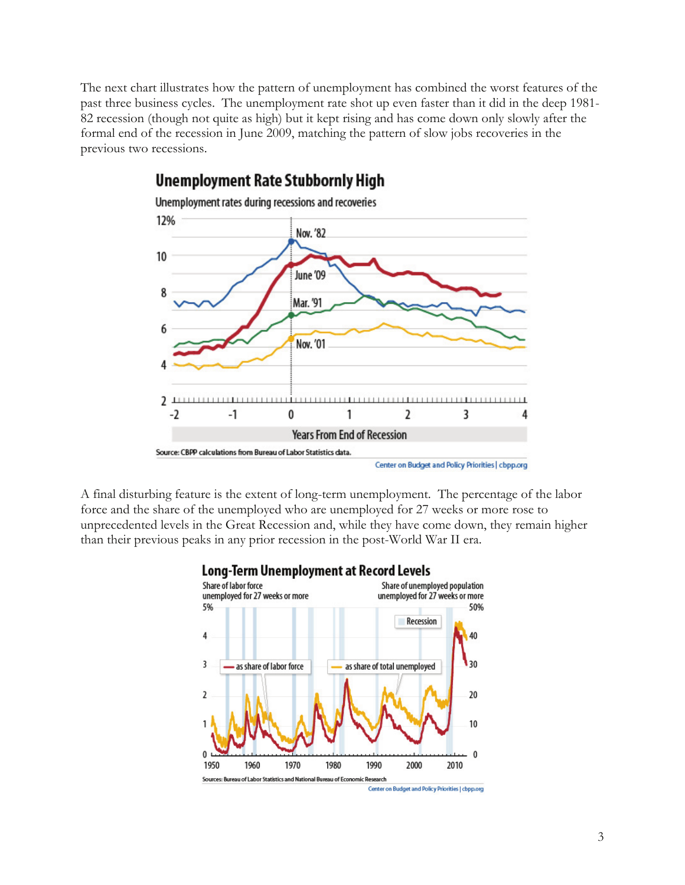The next chart illustrates how the pattern of unemployment has combined the worst features of the past three business cycles. The unemployment rate shot up even faster than it did in the deep 1981- 82 recession (though not quite as high) but it kept rising and has come down only slowly after the formal end of the recession in June 2009, matching the pattern of slow jobs recoveries in the previous two recessions.



## **Unemployment Rate Stubbornly High**

A final disturbing feature is the extent of long-term unemployment. The percentage of the labor force and the share of the unemployed who are unemployed for 27 weeks or more rose to unprecedented levels in the Great Recession and, while they have come down, they remain higher than their previous peaks in any prior recession in the post-World War II era.



### Long-Term Unemployment at Record Levels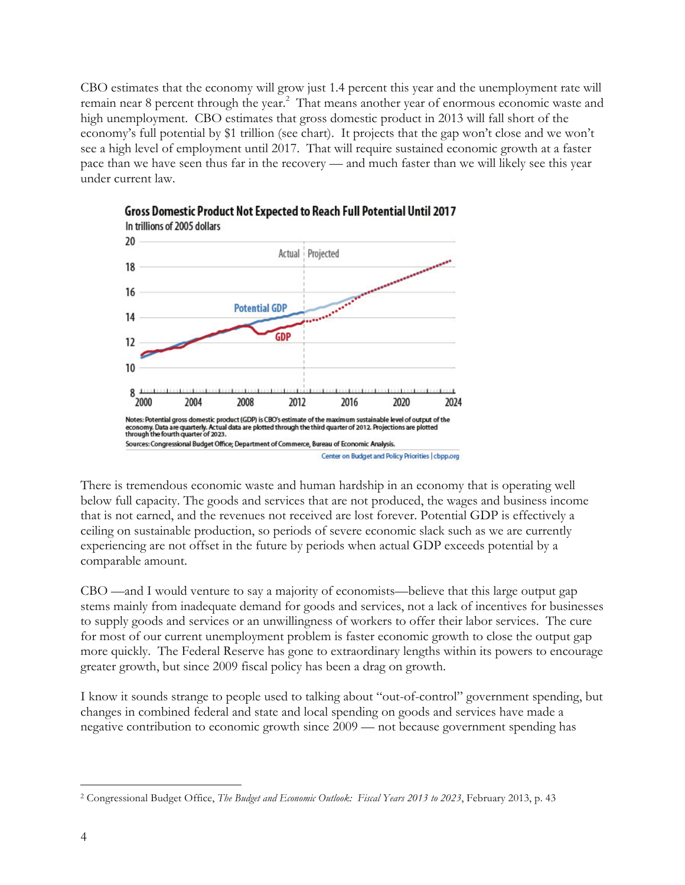CBO estimates that the economy will grow just 1.4 percent this year and the unemployment rate will remain near 8 percent through the year.<sup>2</sup> That means another year of enormous economic waste and high unemployment. CBO estimates that gross domestic product in 2013 will fall short of the economy's full potential by \$1 trillion (see chart). It projects that the gap won't close and we won't see a high level of employment until 2017. That will require sustained economic growth at a faster pace than we have seen thus far in the recovery — and much faster than we will likely see this year under current law.





There is tremendous economic waste and human hardship in an economy that is operating well below full capacity. The goods and services that are not produced, the wages and business income that is not earned, and the revenues not received are lost forever. Potential GDP is effectively a ceiling on sustainable production, so periods of severe economic slack such as we are currently experiencing are not offset in the future by periods when actual GDP exceeds potential by a comparable amount.

CBO —and I would venture to say a majority of economists—believe that this large output gap stems mainly from inadequate demand for goods and services, not a lack of incentives for businesses to supply goods and services or an unwillingness of workers to offer their labor services. The cure for most of our current unemployment problem is faster economic growth to close the output gap more quickly. The Federal Reserve has gone to extraordinary lengths within its powers to encourage greater growth, but since 2009 fiscal policy has been a drag on growth.

I know it sounds strange to people used to talking about "out-of-control" government spending, but changes in combined federal and state and local spending on goods and services have made a negative contribution to economic growth since 2009 — not because government spending has

 <sup>2</sup> Congressional Budget Office, *The Budget and Economic Outlook: Fiscal Years 2013 to 2023*, February 2013, p. 43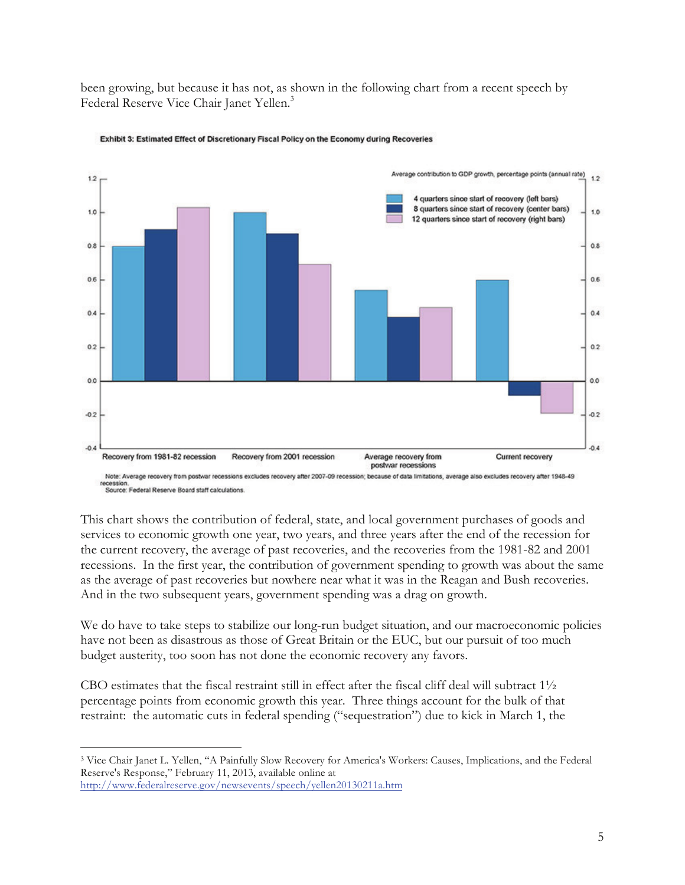been growing, but because it has not, as shown in the following chart from a recent speech by Federal Reserve Vice Chair Janet Yellen.<sup>3</sup>



#### Exhibit 3: Estimated Effect of Discretionary Fiscal Policy on the Economy during Recoveries

recession.<br>Source: Federal Reserve Board staff calculations

This chart shows the contribution of federal, state, and local government purchases of goods and services to economic growth one year, two years, and three years after the end of the recession for the current recovery, the average of past recoveries, and the recoveries from the 1981-82 and 2001 recessions. In the first year, the contribution of government spending to growth was about the same as the average of past recoveries but nowhere near what it was in the Reagan and Bush recoveries. And in the two subsequent years, government spending was a drag on growth.

We do have to take steps to stabilize our long-run budget situation, and our macroeconomic policies have not been as disastrous as those of Great Britain or the EUC, but our pursuit of too much budget austerity, too soon has not done the economic recovery any favors.

CBO estimates that the fiscal restraint still in effect after the fiscal cliff deal will subtract  $1\frac{1}{2}$ percentage points from economic growth this year. Three things account for the bulk of that restraint: the automatic cuts in federal spending ("sequestration") due to kick in March 1, the

 <sup>3</sup> Vice Chair Janet L. Yellen, "A Painfully Slow Recovery for America's Workers: Causes, Implications, and the Federal Reserve's Response," February 11, 2013, available online at http://www.federalreserve.gov/newsevents/speech/yellen20130211a.htm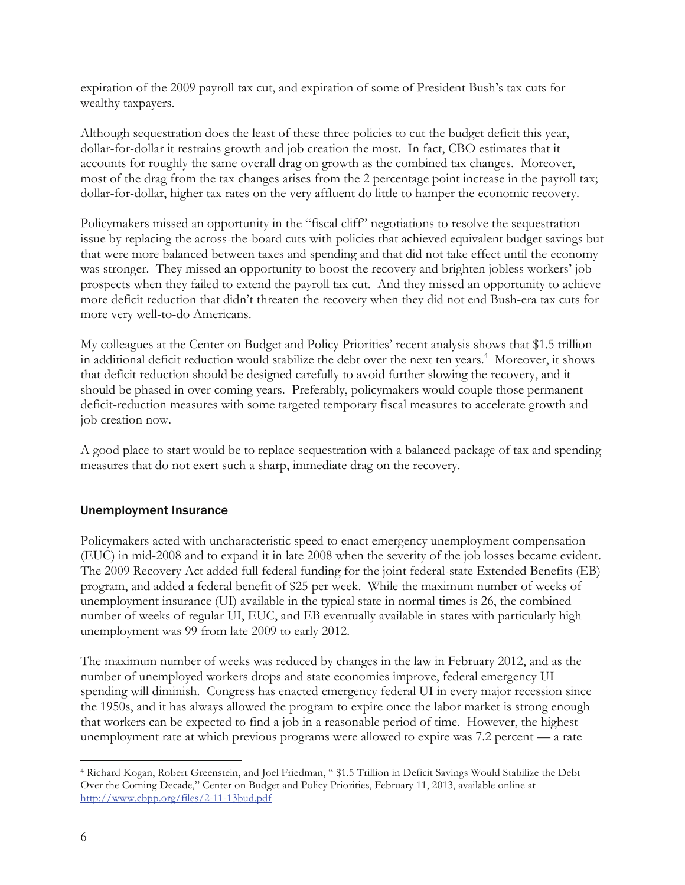expiration of the 2009 payroll tax cut, and expiration of some of President Bush's tax cuts for wealthy taxpayers.

Although sequestration does the least of these three policies to cut the budget deficit this year, dollar-for-dollar it restrains growth and job creation the most. In fact, CBO estimates that it accounts for roughly the same overall drag on growth as the combined tax changes. Moreover, most of the drag from the tax changes arises from the 2 percentage point increase in the payroll tax; dollar-for-dollar, higher tax rates on the very affluent do little to hamper the economic recovery.

Policymakers missed an opportunity in the "fiscal cliff" negotiations to resolve the sequestration issue by replacing the across-the-board cuts with policies that achieved equivalent budget savings but that were more balanced between taxes and spending and that did not take effect until the economy was stronger. They missed an opportunity to boost the recovery and brighten jobless workers' job prospects when they failed to extend the payroll tax cut. And they missed an opportunity to achieve more deficit reduction that didn't threaten the recovery when they did not end Bush-era tax cuts for more very well-to-do Americans.

My colleagues at the Center on Budget and Policy Priorities' recent analysis shows that \$1.5 trillion in additional deficit reduction would stabilize the debt over the next ten years.<sup>4</sup> Moreover, it shows that deficit reduction should be designed carefully to avoid further slowing the recovery, and it should be phased in over coming years. Preferably, policymakers would couple those permanent deficit-reduction measures with some targeted temporary fiscal measures to accelerate growth and job creation now.

A good place to start would be to replace sequestration with a balanced package of tax and spending measures that do not exert such a sharp, immediate drag on the recovery.

### Unemployment Insurance

Policymakers acted with uncharacteristic speed to enact emergency unemployment compensation (EUC) in mid-2008 and to expand it in late 2008 when the severity of the job losses became evident. The 2009 Recovery Act added full federal funding for the joint federal-state Extended Benefits (EB) program, and added a federal benefit of \$25 per week. While the maximum number of weeks of unemployment insurance (UI) available in the typical state in normal times is 26, the combined number of weeks of regular UI, EUC, and EB eventually available in states with particularly high unemployment was 99 from late 2009 to early 2012.

The maximum number of weeks was reduced by changes in the law in February 2012, and as the number of unemployed workers drops and state economies improve, federal emergency UI spending will diminish. Congress has enacted emergency federal UI in every major recession since the 1950s, and it has always allowed the program to expire once the labor market is strong enough that workers can be expected to find a job in a reasonable period of time. However, the highest unemployment rate at which previous programs were allowed to expire was 7.2 percent — a rate

 <sup>4</sup> Richard Kogan, Robert Greenstein, and Joel Friedman, " \$1.5 Trillion in Deficit Savings Would Stabilize the Debt Over the Coming Decade," Center on Budget and Policy Priorities, February 11, 2013, available online at http://www.cbpp.org/files/2-11-13bud.pdf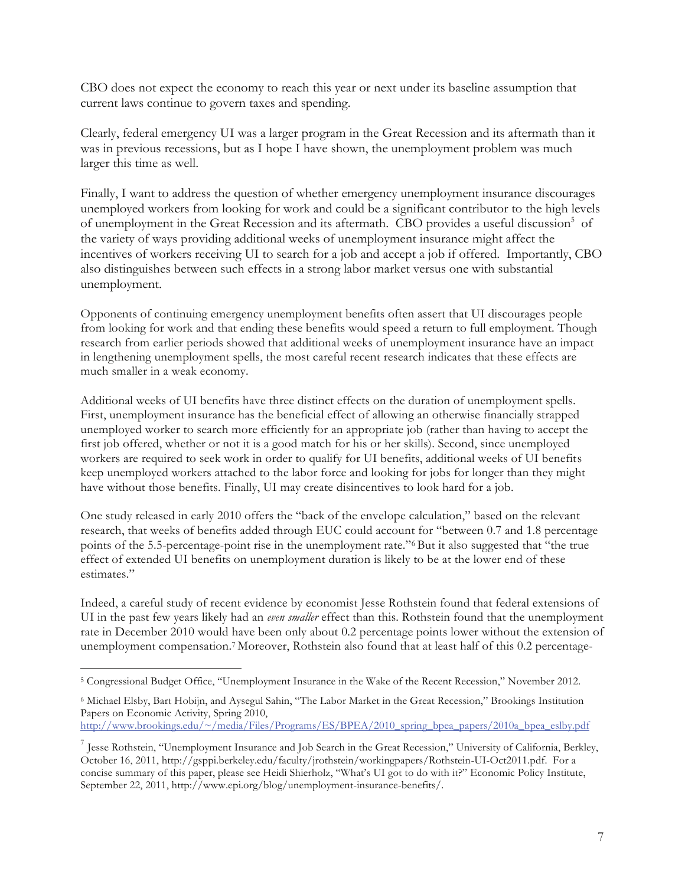CBO does not expect the economy to reach this year or next under its baseline assumption that current laws continue to govern taxes and spending.

Clearly, federal emergency UI was a larger program in the Great Recession and its aftermath than it was in previous recessions, but as I hope I have shown, the unemployment problem was much larger this time as well.

Finally, I want to address the question of whether emergency unemployment insurance discourages unemployed workers from looking for work and could be a significant contributor to the high levels of unemployment in the Great Recession and its aftermath. CBO provides a useful discussion<sup>5</sup> of the variety of ways providing additional weeks of unemployment insurance might affect the incentives of workers receiving UI to search for a job and accept a job if offered. Importantly, CBO also distinguishes between such effects in a strong labor market versus one with substantial unemployment.

Opponents of continuing emergency unemployment benefits often assert that UI discourages people from looking for work and that ending these benefits would speed a return to full employment. Though research from earlier periods showed that additional weeks of unemployment insurance have an impact in lengthening unemployment spells, the most careful recent research indicates that these effects are much smaller in a weak economy.

Additional weeks of UI benefits have three distinct effects on the duration of unemployment spells. First, unemployment insurance has the beneficial effect of allowing an otherwise financially strapped unemployed worker to search more efficiently for an appropriate job (rather than having to accept the first job offered, whether or not it is a good match for his or her skills). Second, since unemployed workers are required to seek work in order to qualify for UI benefits, additional weeks of UI benefits keep unemployed workers attached to the labor force and looking for jobs for longer than they might have without those benefits. Finally, UI may create disincentives to look hard for a job.

One study released in early 2010 offers the "back of the envelope calculation," based on the relevant research, that weeks of benefits added through EUC could account for "between 0.7 and 1.8 percentage points of the 5.5-percentage-point rise in the unemployment rate."<sup>6</sup>But it also suggested that "the true effect of extended UI benefits on unemployment duration is likely to be at the lower end of these estimates."

Indeed, a careful study of recent evidence by economist Jesse Rothstein found that federal extensions of UI in the past few years likely had an *even smaller* effect than this. Rothstein found that the unemployment rate in December 2010 would have been only about 0.2 percentage points lower without the extension of unemployment compensation.7 Moreover, Rothstein also found that at least half of this 0.2 percentage-

http://www.brookings.edu/~/media/Files/Programs/ES/BPEA/2010\_spring\_bpea\_papers/2010a\_bpea\_eslby.pdf

 <sup>5</sup> Congressional Budget Office, "Unemployment Insurance in the Wake of the Recent Recession," November 2012.

<sup>6</sup> Michael Elsby, Bart Hobijn, and Aysegul Sahin, "The Labor Market in the Great Recession," Brookings Institution Papers on Economic Activity, Spring 2010,

 $^7$  Jesse Rothstein, "Unemployment Insurance and Job Search in the Great Recession," University of California, Berkley, October 16, 2011, http://gsppi.berkeley.edu/faculty/jrothstein/workingpapers/Rothstein-UI-Oct2011.pdf. For a concise summary of this paper, please see Heidi Shierholz, "What's UI got to do with it?" Economic Policy Institute, September 22, 2011, http://www.epi.org/blog/unemployment-insurance-benefits/.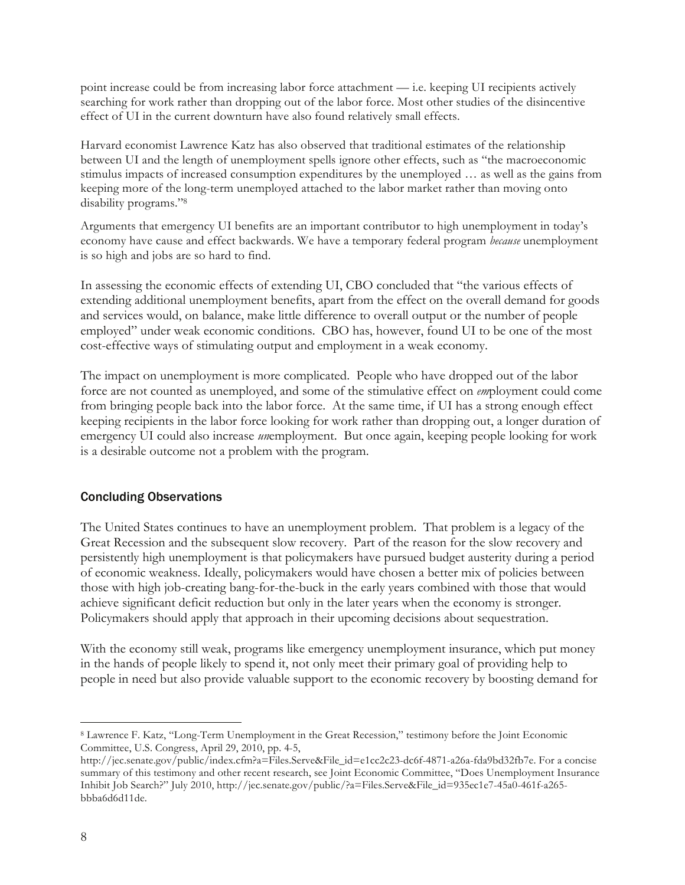point increase could be from increasing labor force attachment — i.e. keeping UI recipients actively searching for work rather than dropping out of the labor force. Most other studies of the disincentive effect of UI in the current downturn have also found relatively small effects.

Harvard economist Lawrence Katz has also observed that traditional estimates of the relationship between UI and the length of unemployment spells ignore other effects, such as "the macroeconomic stimulus impacts of increased consumption expenditures by the unemployed … as well as the gains from keeping more of the long-term unemployed attached to the labor market rather than moving onto disability programs."8

Arguments that emergency UI benefits are an important contributor to high unemployment in today's economy have cause and effect backwards. We have a temporary federal program *because* unemployment is so high and jobs are so hard to find.

In assessing the economic effects of extending UI, CBO concluded that "the various effects of extending additional unemployment benefits, apart from the effect on the overall demand for goods and services would, on balance, make little difference to overall output or the number of people employed" under weak economic conditions. CBO has, however, found UI to be one of the most cost-effective ways of stimulating output and employment in a weak economy.

The impact on unemployment is more complicated. People who have dropped out of the labor force are not counted as unemployed, and some of the stimulative effect on *em*ployment could come from bringing people back into the labor force. At the same time, if UI has a strong enough effect keeping recipients in the labor force looking for work rather than dropping out, a longer duration of emergency UI could also increase *un*employment. But once again, keeping people looking for work is a desirable outcome not a problem with the program.

#### Concluding Observations

The United States continues to have an unemployment problem. That problem is a legacy of the Great Recession and the subsequent slow recovery. Part of the reason for the slow recovery and persistently high unemployment is that policymakers have pursued budget austerity during a period of economic weakness. Ideally, policymakers would have chosen a better mix of policies between those with high job-creating bang-for-the-buck in the early years combined with those that would achieve significant deficit reduction but only in the later years when the economy is stronger. Policymakers should apply that approach in their upcoming decisions about sequestration.

With the economy still weak, programs like emergency unemployment insurance, which put money in the hands of people likely to spend it, not only meet their primary goal of providing help to people in need but also provide valuable support to the economic recovery by boosting demand for

 <sup>8</sup> Lawrence F. Katz, "Long-Term Unemployment in the Great Recession," testimony before the Joint Economic Committee, U.S. Congress, April 29, 2010, pp. 4-5,

http://jec.senate.gov/public/index.cfm?a=Files.Serve&File\_id=e1cc2c23-dc6f-4871-a26a-fda9bd32fb7e. For a concise summary of this testimony and other recent research, see Joint Economic Committee, "Does Unemployment Insurance Inhibit Job Search?" July 2010, http://jec.senate.gov/public/?a=Files.Serve&File\_id=935ec1e7-45a0-461f-a265 bbba6d6d11de.